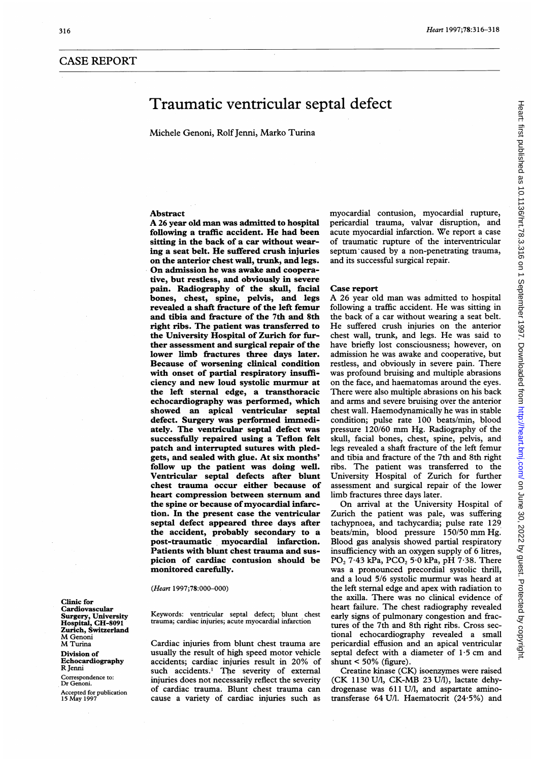# CASE REPORT

# Traumatic ventricular septal defect

Michele Genoni, Rolf Jenni, Marko Turina

# Abstract

A <sup>26</sup> year old man was admitted to hospital following a traffic accident. He had been sitting in the back of a car without wearing a seat belt. He suffered crush injuries on the anterior chest wall, trunk, and legs. On admission he was awake and cooperative, but restless, and obviously in severe pain. Radiography of the skull, facial bones, chest, spine, pelvis, and legs revealed a shaft fracture of the left femur and tibia and fracture of the 7th and 8th right ribs. The patient was transferred to the University Hospital of Zurich for further assessment and surgical repair of the lower limb fractures three days later. Because of worsening clinical condition with onset of partial respiratory insufficiency and new loud systolic murmur at the left sternal edge, a transthoracic echocardiography was performed, which showed an apical ventricular septal defect. Surgery was performed immediately. The ventricular septal defect was successfully repaired using a Teflon felt patch and interrupted sutures with pledgets, and sealed with glue. At six months' follow up the patient was doing well. Ventricular septal defects after blunt chest trauma occur either because of heart compression between sternum and the spine or because of myocardial infarction. In the present case the ventricular septal defect appeared three days after the accident, probably secondary to a post-traumatic myocardial infarction. Patients with blunt chest trauma and suspicion of cardiac contusion should be monitored carefully.

(Heart 1997;78:000-000)

Keywords: ventricular septal defect; blunt chest trauma; cardiac injuries; acute myocardial infarction

Cardiac injuries from blunt chest trauma are usually the result of high speed motor vehicle accidents; cardiac injuries result in 20% of such accidents.' The severity of external injuries does not necessarily reflect the severity of cardiac trauma. Blunt chest trauma can cause a variety of cardiac injuries such as

myocardial contusion, myocardial rupture, pericardial trauma, valvar disruption, and acute myocardial infarction. We report <sup>a</sup> case of traumatic rupture of the interventricular septum caused by a non-penetrating trauma, and its successful surgical repair.

#### Case report

A 26 year old man was admitted to hospital following <sup>a</sup> traffic accident. He was sitting in the back of a car without wearing a seat belt. He suffered crush injuries on the anterior chest wall, trunk, and legs. He was said to have briefly lost consciousness; however, on admission he was awake and cooperative, but restless, and obviously in severe pain. There was profound bruising and multiple abrasions on the face, and haematomas around the eyes. There were also multiple abrasions on his back and arms and severe bruising over the anterior chest wall. Haemodynamically he was in stable condition; pulse rate 100 beats/min, blood pressure 120/60 mm Hg. Radiography of the skull, facial bones, chest, spine, pelvis, and legs revealed a shaft fracture of the left femur and tibia and fracture of the 7th and 8th right ribs. The patient was transferred to the University Hospital of Zurich for further assessment and surgical repair of the lower limb fractures three days later.

On arrival at the University Hospital of Zurich the patient was pale, was suffering tachypnoea, and tachycardia; pulse rate 129 beats/min, blood pressure 150/50 mm Hg. Blood gas analysis showed partial respiratory insufficiency with an oxygen supply of 6 litres,  $PO<sub>2</sub>$  7.43 kPa,  $PCO<sub>2</sub>$  5.0 kPa, pH 7.38. There was a pronounced precordial systolic ihrill, and a loud 5/6 systolic murmur was heard at the left sternal edge and apex with radiation to the axilla. There was no clinical evidence of heart failure. The chest radiography revealed early signs of pulmonary congestion and fractures of the 7th and 8th right ribs. Cross sectional echocardiography revealed a small pericardial effusion and an apical ventricular septal defect with a diameter of  $1.5$  cm and shunt < 50% (figure).

Creatine kinase (CK) isoenzymes were raised (CK 1130 U/l, CK-MB 23 U/1), lactate dehydrogenase was 611 U/1, and aspartate aminotransferase 64 U/I. Haematocrit (24.5%) and

Clinic for Cardiovascular Surgery, University Hospital, CH-8091 Zurich, Switzerland M Genoni M Turina Division of Echocardiography R Jenni Correspondence to: Dr Genoni. Accepted for publication 15 May 1997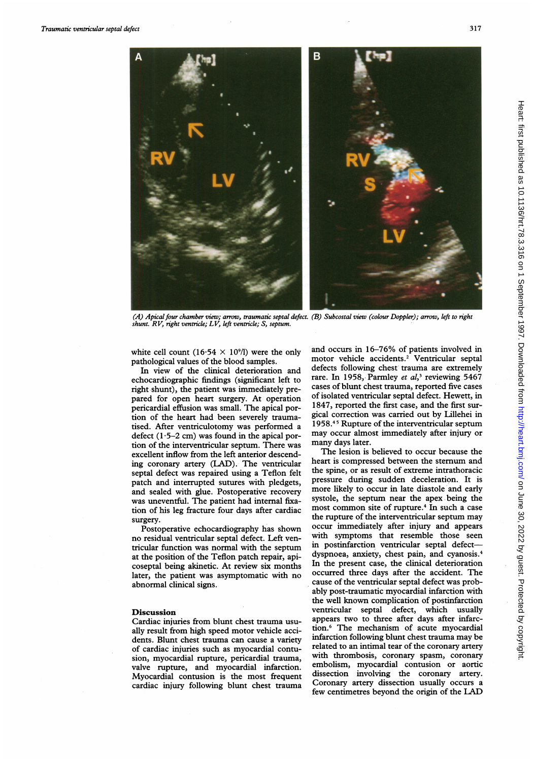

(A) Apical four chamber view; arrow, traumatic septal defect. (B) Subcostal view (colour Doppler); arrow, left to right<br>shunt. RV, right ventricle; LV, left ventricle; S, septum.

white cell count (16.54  $\times$  10<sup>9</sup>/l) were the only pathological values of the blood samples.

In view of the clinical deterioration and echocardiographic findings (significant left to right shunt), the patient was immediately prepared for open heart surgery. At operation pericardial effusion was small. The apical portion of the heart had been severely traumatised. After ventriculotomy was performed a defect  $(1.5-2$  cm) was found in the apical portion of the interventricular septum. There was excellent inflow from the left anterior descending coronary artery (LAD). The ventricular septal defect was repaired using a Teflon felt patch and interrupted sutures with pledgets, and sealed with glue. Postoperative recovery was uneventful. The patient had internal fixation of his leg fracture four days after cardiac surgery.

Postoperative echocardiography has shown no residual ventricular septal defect. Left ventricular function was normal with the septum at the position of the Teflon patch repair, apicoseptal being akinetic. At review six months later, the patient was asymptomatic with no abnormal clinical signs.

# Discussion

Cardiac injuries from blunt chest trauma usually result from high speed motor vehicle accidents. Blunt chest trauma can cause a variety of cardiac injuries such as myocardial contusion, myocardial rupture, pericardial trauma, valve rupture, and myocardial infarction. Myocardial contusion is the most frequent cardiac injury following blunt chest trauma

and occurs in 16-76% of patients involved in motor vehicle accidents.<sup>2</sup> Ventricular septal defects following chest trauma are extremely rare. In 1958, Parmley et  $al$ ,<sup>3</sup> reviewing 5467 cases of blunt chest trauma, reported five cases of isolated ventricular septal defect. Hewett, in 1847, reported the first case, and the first surgical correction was carried out by Lillehei in 1958.45 Rupture of the interventricular septum may occur almost immediately after injury or many days later.

The lesion is believed to occur because the heart is compressed between the sternum and the spine, or as result of extreme intrathoracic pressure during sudden deceleration. It is more likely to occur in late diastole and early systole, the septum near the apex being the most common site of rupture.4 In such <sup>a</sup> case the rupture of the interventricular septum may occur immediately after injury and appears with symptoms that resemble those seen in postinfarction ventricular septal defectdyspnoea, anxiety, chest pain, and cyanosis.4 In the present case, the clinical deterioration occurred three days after the accident. The cause of the ventricular septal defect was probably post-traumatic myocardial infarction with the well known complication of postinfarction ventricular septal defect, which usually appears two to three after days after infarction.6 The mechanism of acute myocardial infarction following blunt chest trauma may be related to an intimal tear of the coronary artery with thrombosis, coronary spasm, coronary embolism, myocardial contusion or aortic dissection involving the coronary artery. Coronary artery dissection usually occurs a few centimetres beyond the origin of the LAD